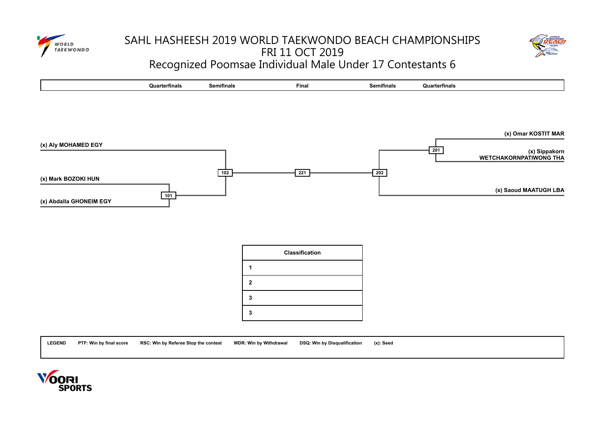

## SAHL HASHEESH 2019 WORLD TAEKWONDO BEACH CHAMPIONSHIPS FRI 11 OCT 2019 Recognized Poomsae Individual Male Under 17 Contestants 6





|              | <b>Classification</b> |
|--------------|-----------------------|
|              |                       |
|              |                       |
| $\mathbf{2}$ |                       |
| 3            |                       |
| 3            |                       |

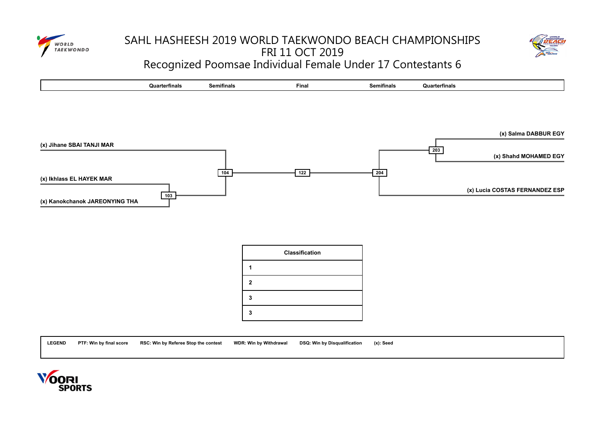

# SAHL HASHEESH 2019 WORLD TAEKWONDO BEACH CHAMPIONSHIPS FRI 11 OCT 2019 Recognized Poomsae Individual Female Under 17 Contestants 6





|   | <b>Classification</b> |
|---|-----------------------|
|   |                       |
| 2 |                       |
| 3 |                       |
| 3 |                       |

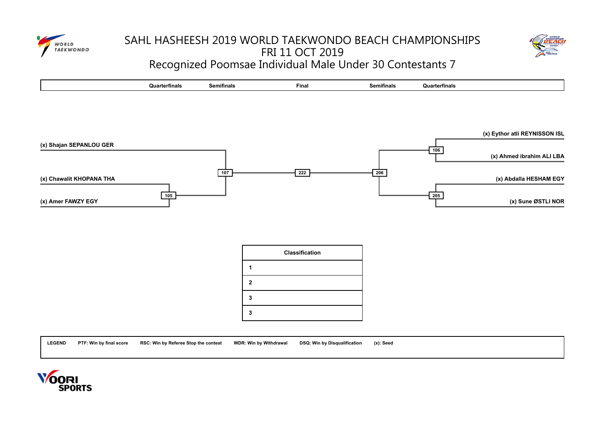

## SAHL HASHEESH 2019 WORLD TAEKWONDO BEACH CHAMPIONSHIPS FRI 11 OCT 2019 Recognized Poomsae Individual Male Under 30 Contestants 7





|   | <b>Classification</b> |
|---|-----------------------|
|   |                       |
| 2 |                       |
| 3 |                       |
| 3 |                       |



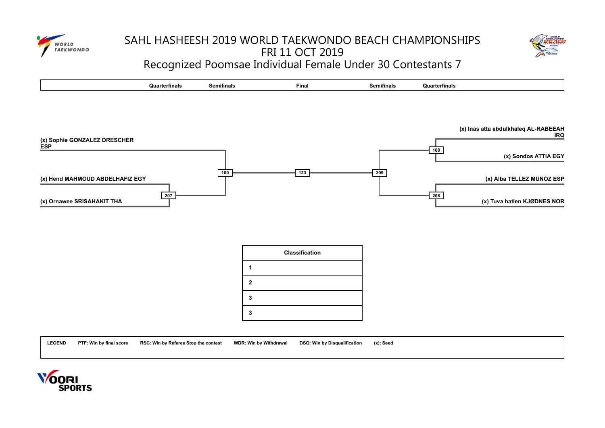

# SAHL HASHEESH 2019 WORLD TAEKWONDO BEACH CHAMPIONSHIPS FRI 11 OCT 2019 Recognized Poomsae Individual Female Under 30 Contestants 7





|   | <b>Classification</b> |
|---|-----------------------|
|   |                       |
| 2 |                       |
| 3 |                       |
| 3 |                       |



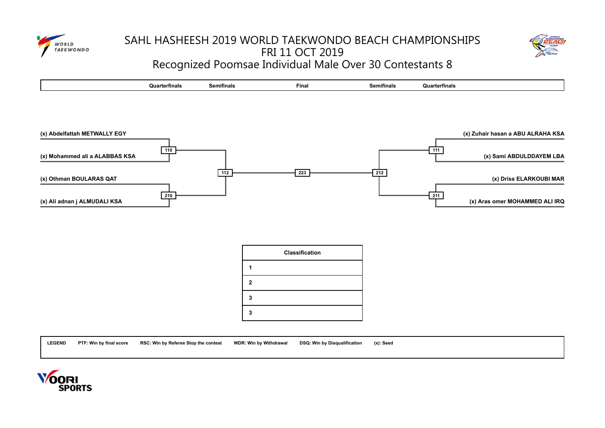

## SAHL HASHEESH 2019 WORLD TAEKWONDO BEACH CHAMPIONSHIPS FRI 11 OCT 2019 Recognized Poomsae Individual Male Over 30 Contestants 8



|  |  | ™erπnaı⇔<br>wu | Semifinals | Finar | rınals<br>Semi | ırterfinals |
|--|--|----------------|------------|-------|----------------|-------------|
|--|--|----------------|------------|-------|----------------|-------------|



|              | <b>Classification</b> |
|--------------|-----------------------|
|              |                       |
| $\mathbf{2}$ |                       |
| 3            |                       |
| 3            |                       |



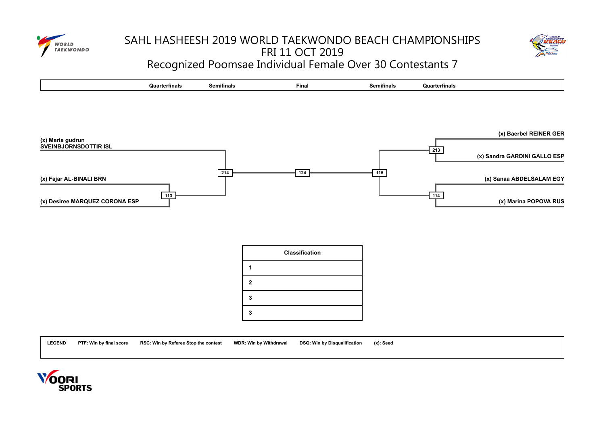

# SAHL HASHEESH 2019 WORLD TAEKWONDO BEACH CHAMPIONSHIPS FRI 11 OCT 2019 Recognized Poomsae Individual Female Over 30 Contestants 7





|   | <b>Classification</b> |
|---|-----------------------|
|   |                       |
| 2 |                       |
| 3 |                       |
| 3 |                       |



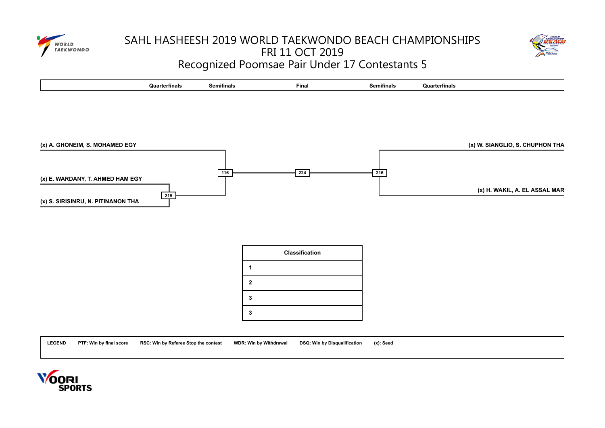

# SAHL HASHEESH 2019 WORLD TAEKWONDO BEACH CHAMPIONSHIPS FRI 11 OCT 2019 Recognized Poomsae Pair Under 17 Contestants 5





|   | <b>Classification</b> |
|---|-----------------------|
|   |                       |
| 2 |                       |
| 3 |                       |
| 3 |                       |

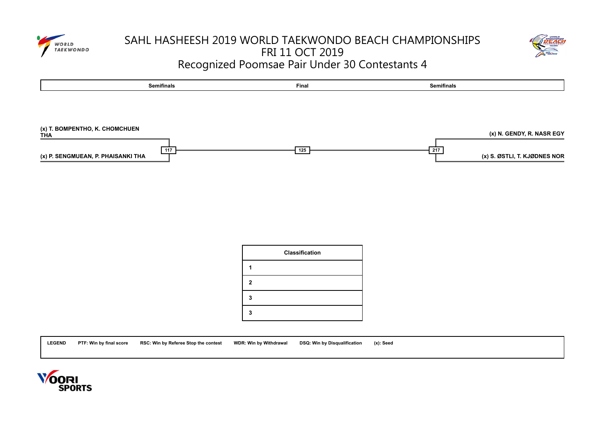

## SAHL HASHEESH 2019 WORLD TAEKWONDO BEACH CHAMPIONSHIPS FRI 11 OCT 2019 Recognized Poomsae Pair Under 30 Contestants 4





|   | <b>Classification</b> |
|---|-----------------------|
|   |                       |
| 2 |                       |
|   |                       |
|   |                       |



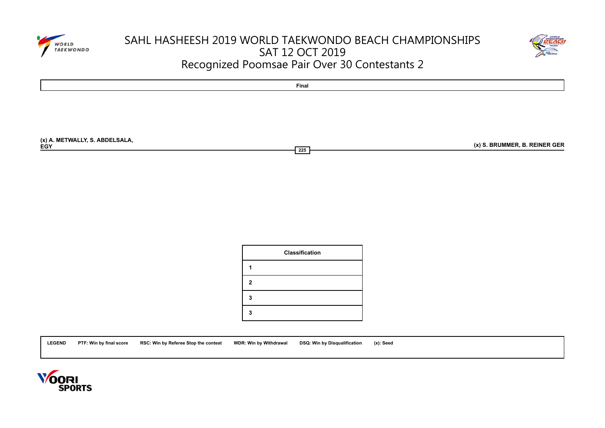

# SAHL HASHEESH 2019 WORLD TAEKWONDO BEACH CHAMPIONSHIPS SAT 12 OCT 2019 Recognized Poomsae Pair Over 30 Contestants 2





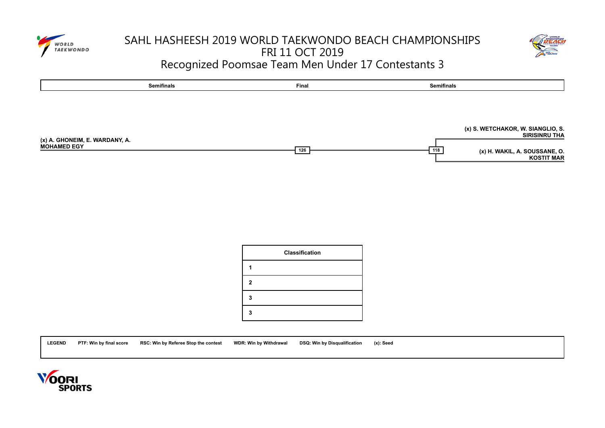

## SAHL HASHEESH 2019 WORLD TAEKWONDO BEACH CHAMPIONSHIPS FRI 11 OCT 2019 Recognized Poomsae Team Men Under 17 Contestants 3





|   | Classification |
|---|----------------|
|   |                |
| 2 |                |
|   |                |
|   |                |



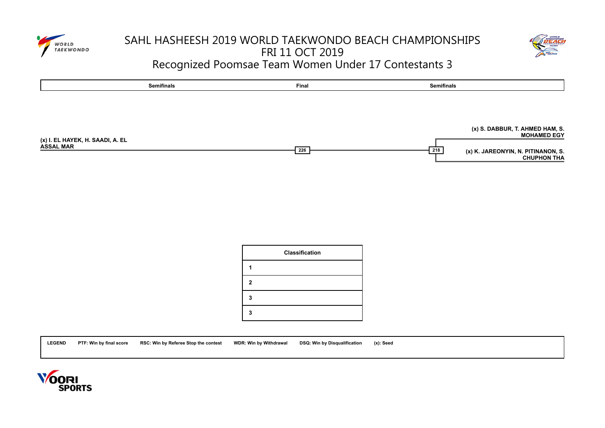

## SAHL HASHEESH 2019 WORLD TAEKWONDO BEACH CHAMPIONSHIPS FRI 11 OCT 2019 Recognized Poomsae Team Women Under 17 Contestants 3





|              | <b>Classification</b> |
|--------------|-----------------------|
|              |                       |
| $\mathbf{2}$ |                       |
| 3            |                       |
|              |                       |



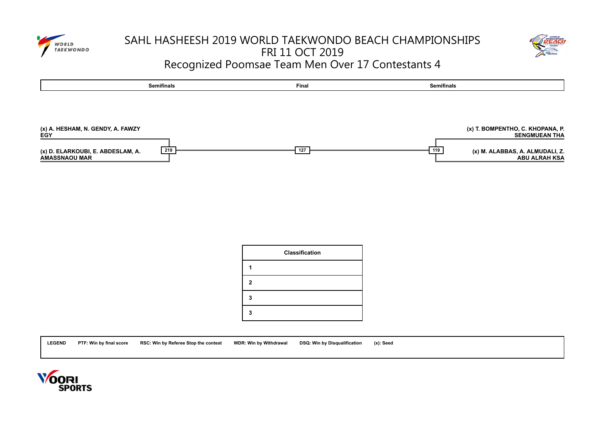

## SAHL HASHEESH 2019 WORLD TAEKWONDO BEACH CHAMPIONSHIPS FRI 11 OCT 2019 Recognized Poomsae Team Men Over 17 Contestants 4





|   | <b>Classification</b> |
|---|-----------------------|
|   |                       |
| 2 |                       |
| 3 |                       |
|   |                       |